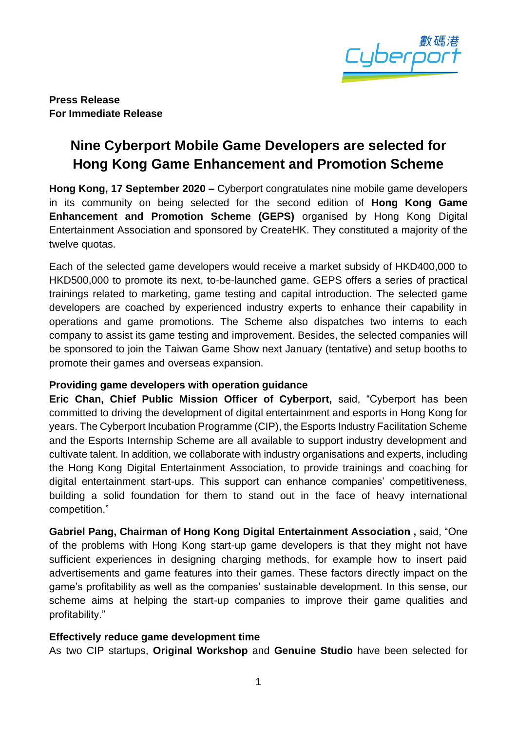

**Press Release For Immediate Release**

# **Nine Cyberport Mobile Game Developers are selected for Hong Kong Game Enhancement and Promotion Scheme**

**Hong Kong, 17 September 2020 –** Cyberport congratulates nine mobile game developers in its community on being selected for the second edition of **Hong Kong Game Enhancement and Promotion Scheme (GEPS)** organised by Hong Kong Digital Entertainment Association and sponsored by CreateHK. They constituted a majority of the twelve quotas.

Each of the selected game developers would receive a market subsidy of HKD400,000 to HKD500,000 to promote its next, to-be-launched game. GEPS offers a series of practical trainings related to marketing, game testing and capital introduction. The selected game developers are coached by experienced industry experts to enhance their capability in operations and game promotions. The Scheme also dispatches two interns to each company to assist its game testing and improvement. Besides, the selected companies will be sponsored to join the Taiwan Game Show next January (tentative) and setup booths to promote their games and overseas expansion.

## **Providing game developers with operation guidance**

**Eric Chan, Chief Public Mission Officer of Cyberport,** said, "Cyberport has been committed to driving the development of digital entertainment and esports in Hong Kong for years. The Cyberport Incubation Programme (CIP), the Esports Industry Facilitation Scheme and the Esports Internship Scheme are all available to support industry development and cultivate talent. In addition, we collaborate with industry organisations and experts, including the Hong Kong Digital Entertainment Association, to provide trainings and coaching for digital entertainment start-ups. This support can enhance companies' competitiveness, building a solid foundation for them to stand out in the face of heavy international competition."

**Gabriel Pang, Chairman of Hong Kong Digital Entertainment Association ,** said, "One of the problems with Hong Kong start-up game developers is that they might not have sufficient experiences in designing charging methods, for example how to insert paid advertisements and game features into their games. These factors directly impact on the game's profitability as well as the companies' sustainable development. In this sense, our scheme aims at helping the start-up companies to improve their game qualities and profitability."

#### **Effectively reduce game development time**

As two CIP startups, **Original Workshop** and **Genuine Studio** have been selected for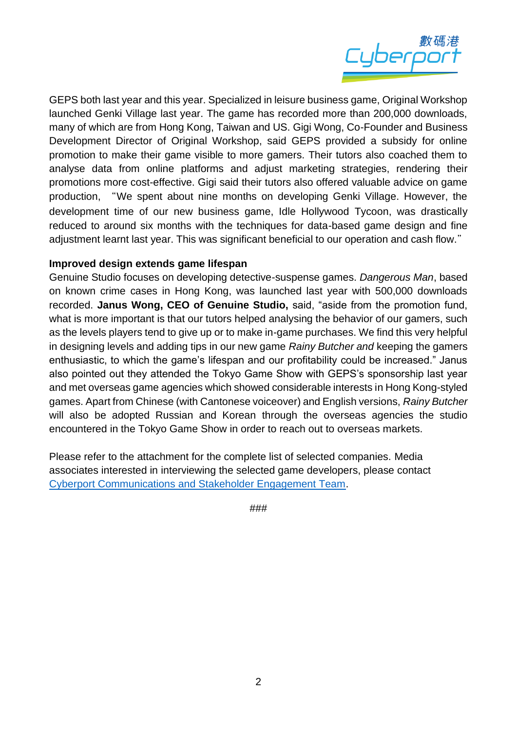

GEPS both last year and this year. Specialized in leisure business game, Original Workshop launched Genki Village last year. The game has recorded more than 200,000 downloads, many of which are from Hong Kong, Taiwan and US. Gigi Wong, Co-Founder and Business Development Director of Original Workshop, said GEPS provided a subsidy for online promotion to make their game visible to more gamers. Their tutors also coached them to analyse data from online platforms and adjust marketing strategies, rendering their promotions more cost-effective. Gigi said their tutors also offered valuable advice on game production, "We spent about nine months on developing Genki Village. However, the development time of our new business game, Idle Hollywood Tycoon, was drastically reduced to around six months with the techniques for data-based game design and fine adjustment learnt last year. This was significant beneficial to our operation and cash flow."

#### **Improved design extends game lifespan**

Genuine Studio focuses on developing detective-suspense games. *Dangerous Man*, based on known crime cases in Hong Kong, was launched last year with 500,000 downloads recorded. **Janus Wong, CEO of Genuine Studio,** said, "aside from the promotion fund, what is more important is that our tutors helped analysing the behavior of our gamers, such as the levels players tend to give up or to make in-game purchases. We find this very helpful in designing levels and adding tips in our new game *Rainy Butcher and* keeping the gamers enthusiastic, to which the game's lifespan and our profitability could be increased." Janus also pointed out they attended the Tokyo Game Show with GEPS's sponsorship last year and met overseas game agencies which showed considerable interests in Hong Kong-styled games. Apart from Chinese (with Cantonese voiceover) and English versions, *Rainy Butcher* will also be adopted Russian and Korean through the overseas agencies the studio encountered in the Tokyo Game Show in order to reach out to overseas markets.

Please refer to the attachment for the complete list of selected companies. Media associates interested in interviewing the selected game developers, please contact [Cyberport Communications and Stakeholder Engagement Team.](mailto:media@cyberport.hk?subject=數碼港9間手機遊戲開發商入圍香港遊戲優化和推廣計劃)

###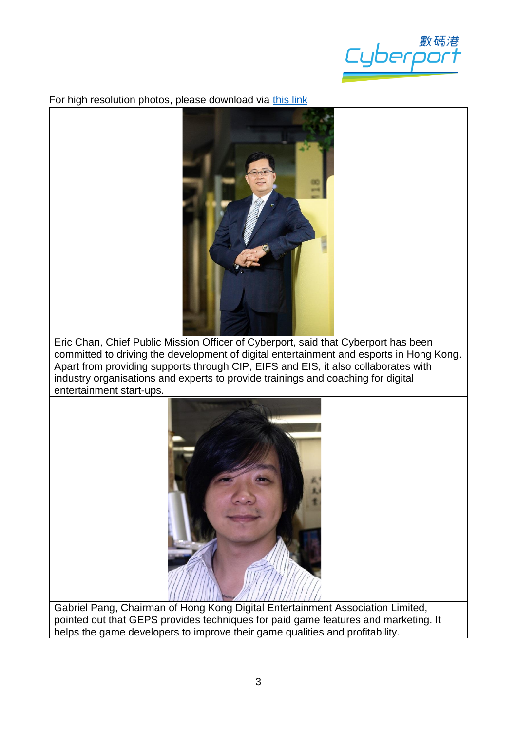

For high resolution photos, please download via [this link](https://drive.google.com/drive/folders/1CjrEYnbLGQuHMDyaQPe0qtoalrn9n-Pb?usp=sharing)



Eric Chan, Chief Public Mission Officer of Cyberport, said that Cyberport has been committed to driving the development of digital entertainment and esports in Hong Kong. Apart from providing supports through CIP, EIFS and EIS, it also collaborates with industry organisations and experts to provide trainings and coaching for digital entertainment start-ups.



Gabriel Pang, Chairman of Hong Kong Digital Entertainment Association Limited, pointed out that GEPS provides techniques for paid game features and marketing. It helps the game developers to improve their game qualities and profitability.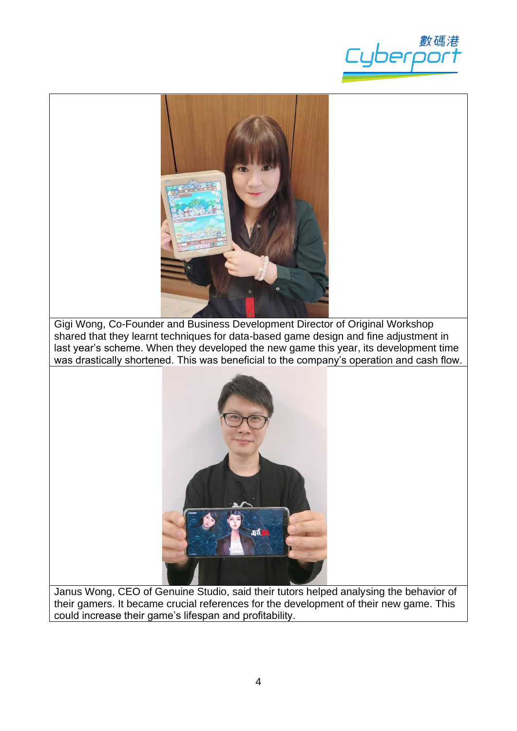



Gigi Wong, Co-Founder and Business Development Director of Original Workshop shared that they learnt techniques for data-based game design and fine adjustment in last year's scheme. When they developed the new game this year, its development time was drastically shortened. This was beneficial to the company's operation and cash flow.



Janus Wong, CEO of Genuine Studio, said their tutors helped analysing the behavior of their gamers. It became crucial references for the development of their new game. This could increase their game's lifespan and profitability.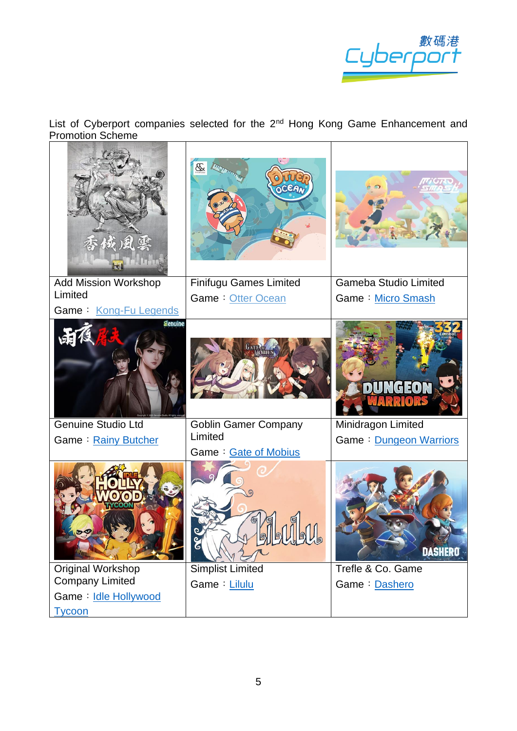

List of Cyberport companies selected for the 2<sup>nd</sup> Hong Kong Game Enhancement and Promotion Scheme

| 欲風雲                                         | OCEAN                           |                              |
|---------------------------------------------|---------------------------------|------------------------------|
| <b>Add Mission Workshop</b><br>Limited      | <b>Finifugu Games Limited</b>   | <b>Gameba Studio Limited</b> |
| Game: Kong-Fu Legends                       | Game: Otter Ocean               | Game: Micro Smash            |
| genuine                                     |                                 | <b>DUNGEOI</b>               |
| <b>Genuine Studio Ltd</b>                   | <b>Goblin Gamer Company</b>     | Minidragon Limited           |
| Game: Rainy Butcher                         | Limited<br>Game: Gate of Mobius | Game: Dungeon Warriors       |
|                                             | HUJU<br>E                       | <b>DASHERO</b>               |
| Original Workshop<br><b>Company Limited</b> | <b>Simplist Limited</b>         | Trefle & Co. Game            |
| Game: Idle Hollywood                        | Game: Lilulu                    | Game: Dashero                |
| <b>Tycoon</b>                               |                                 |                              |